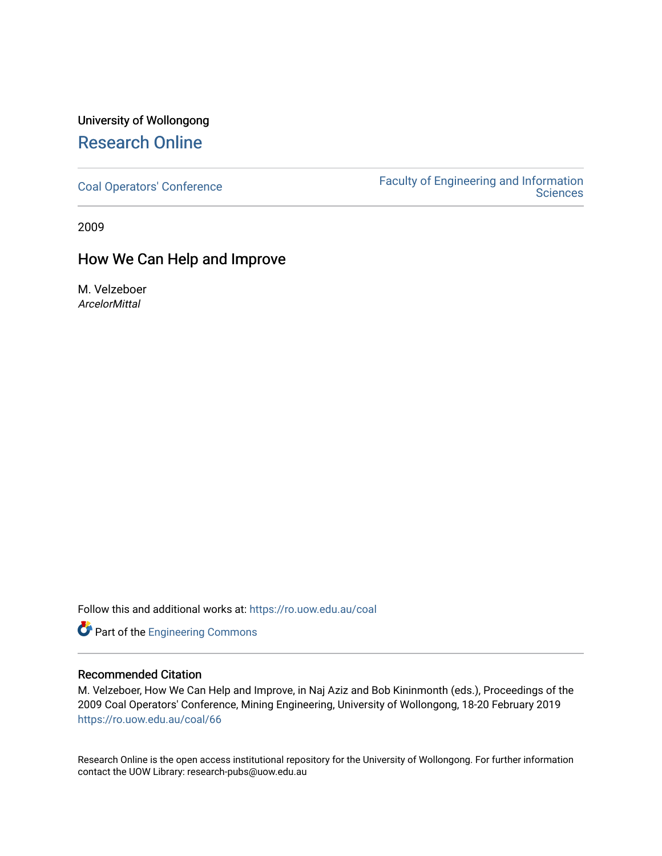## University of Wollongong [Research Online](https://ro.uow.edu.au/)

[Coal Operators' Conference](https://ro.uow.edu.au/coal) [Faculty of Engineering and Information](https://ro.uow.edu.au/eis)  **Sciences** 

2009

### How We Can Help and Improve

M. Velzeboer **ArcelorMittal** 

Follow this and additional works at: [https://ro.uow.edu.au/coal](https://ro.uow.edu.au/coal?utm_source=ro.uow.edu.au%2Fcoal%2F66&utm_medium=PDF&utm_campaign=PDFCoverPages) 

Part of the [Engineering Commons](http://network.bepress.com/hgg/discipline/217?utm_source=ro.uow.edu.au%2Fcoal%2F66&utm_medium=PDF&utm_campaign=PDFCoverPages)

### Recommended Citation

M. Velzeboer, How We Can Help and Improve, in Naj Aziz and Bob Kininmonth (eds.), Proceedings of the 2009 Coal Operators' Conference, Mining Engineering, University of Wollongong, 18-20 February 2019 [https://ro.uow.edu.au/coal/66](https://ro.uow.edu.au/coal/66?utm_source=ro.uow.edu.au%2Fcoal%2F66&utm_medium=PDF&utm_campaign=PDFCoverPages) 

Research Online is the open access institutional repository for the University of Wollongong. For further information contact the UOW Library: research-pubs@uow.edu.au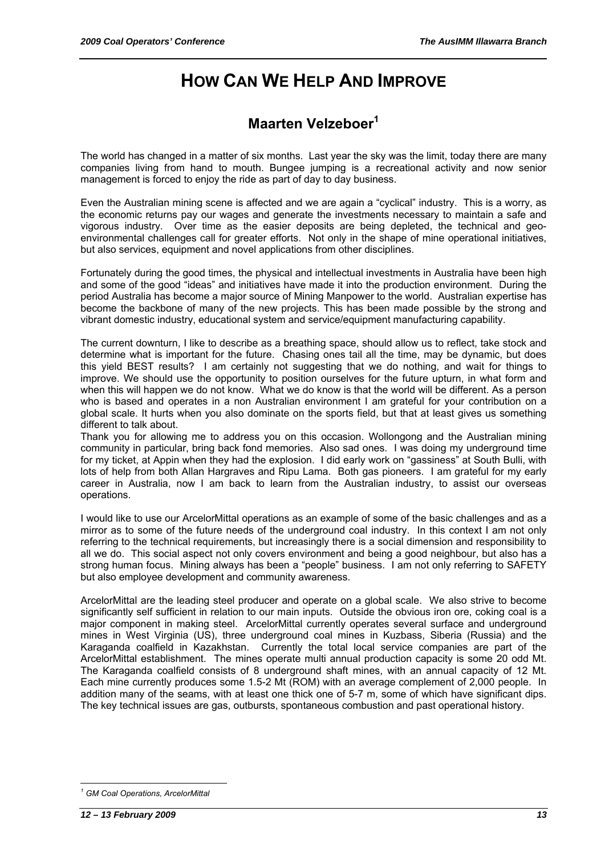# **HOW CAN WE HELP AND IMPROVE**

## **Maarten Velzeboer<sup>1</sup>**

The world has changed in a matter of six months. Last year the sky was the limit, today there are many companies living from hand to mouth. Bungee jumping is a recreational activity and now senior management is forced to enjoy the ride as part of day to day business.

Even the Australian mining scene is affected and we are again a "cyclical" industry. This is a worry, as the economic returns pay our wages and generate the investments necessary to maintain a safe and vigorous industry. Over time as the easier deposits are being depleted, the technical and geoenvironmental challenges call for greater efforts. Not only in the shape of mine operational initiatives, but also services, equipment and novel applications from other disciplines.

Fortunately during the good times, the physical and intellectual investments in Australia have been high and some of the good "ideas" and initiatives have made it into the production environment. During the period Australia has become a major source of Mining Manpower to the world. Australian expertise has become the backbone of many of the new projects. This has been made possible by the strong and vibrant domestic industry, educational system and service/equipment manufacturing capability.

The current downturn, I like to describe as a breathing space, should allow us to reflect, take stock and determine what is important for the future. Chasing ones tail all the time, may be dynamic, but does this yield BEST results? I am certainly not suggesting that we do nothing, and wait for things to improve. We should use the opportunity to position ourselves for the future upturn, in what form and when this will happen we do not know. What we do know is that the world will be different. As a person who is based and operates in a non Australian environment I am grateful for your contribution on a global scale. It hurts when you also dominate on the sports field, but that at least gives us something different to talk about.

Thank you for allowing me to address you on this occasion. Wollongong and the Australian mining community in particular, bring back fond memories. Also sad ones. I was doing my underground time for my ticket, at Appin when they had the explosion. I did early work on "gassiness" at South Bulli, with lots of help from both Allan Hargraves and Ripu Lama. Both gas pioneers. I am grateful for my early career in Australia, now I am back to learn from the Australian industry, to assist our overseas operations.

I would like to use our ArcelorMittal operations as an example of some of the basic challenges and as a mirror as to some of the future needs of the underground coal industry. In this context I am not only referring to the technical requirements, but increasingly there is a social dimension and responsibility to all we do. This social aspect not only covers environment and being a good neighbour, but also has a strong human focus. Mining always has been a "people" business. I am not only referring to SAFETY but also employee development and community awareness.

ArcelorMittal are the leading steel producer and operate on a global scale. We also strive to become significantly self sufficient in relation to our main inputs. Outside the obvious iron ore, coking coal is a major component in making steel. ArcelorMittal currently operates several surface and underground mines in West Virginia (US), three underground coal mines in Kuzbass, Siberia (Russia) and the Karaganda coalfield in Kazakhstan. Currently the total local service companies are part of the ArcelorMittal establishment. The mines operate multi annual production capacity is some 20 odd Mt. The Karaganda coalfield consists of 8 underground shaft mines, with an annual capacity of 12 Mt. Each mine currently produces some 1.5-2 Mt (ROM) with an average complement of 2,000 people. In addition many of the seams, with at least one thick one of 5-7 m, some of which have significant dips. The key technical issues are gas, outbursts, spontaneous combustion and past operational history.

 $\overline{a}$ *1 GM Coal Operations, ArcelorMittal*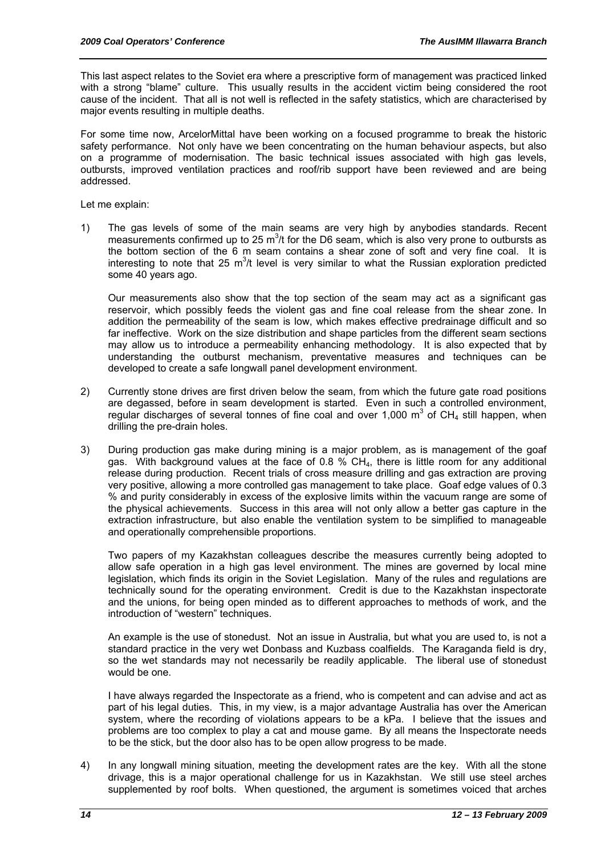This last aspect relates to the Soviet era where a prescriptive form of management was practiced linked with a strong "blame" culture. This usually results in the accident victim being considered the root cause of the incident. That all is not well is reflected in the safety statistics, which are characterised by major events resulting in multiple deaths.

For some time now, ArcelorMittal have been working on a focused programme to break the historic safety performance. Not only have we been concentrating on the human behaviour aspects, but also on a programme of modernisation. The basic technical issues associated with high gas levels, outbursts, improved ventilation practices and roof/rib support have been reviewed and are being addressed.

Let me explain:

1) The gas levels of some of the main seams are very high by anybodies standards. Recent measurements confirmed up to 25  $m^3/t$  for the D6 seam, which is also very prone to outbursts as the bottom section of the 6 m seam contains a shear zone of soft and very fine coal. It is interesting to note that 25  $m^3/t$  level is very similar to what the Russian exploration predicted some 40 years ago.

 Our measurements also show that the top section of the seam may act as a significant gas reservoir, which possibly feeds the violent gas and fine coal release from the shear zone. In addition the permeability of the seam is low, which makes effective predrainage difficult and so far ineffective. Work on the size distribution and shape particles from the different seam sections may allow us to introduce a permeability enhancing methodology. It is also expected that by understanding the outburst mechanism, preventative measures and techniques can be developed to create a safe longwall panel development environment.

- 2) Currently stone drives are first driven below the seam, from which the future gate road positions are degassed, before in seam development is started. Even in such a controlled environment, regular discharges of several tonnes of fine coal and over 1,000  $m^3$  of CH<sub>4</sub> still happen, when drilling the pre-drain holes.
- 3) During production gas make during mining is a major problem, as is management of the goaf gas. With background values at the face of 0.8  $\%$  CH<sub>4</sub>, there is little room for any additional release during production. Recent trials of cross measure drilling and gas extraction are proving very positive, allowing a more controlled gas management to take place. Goaf edge values of 0.3 % and purity considerably in excess of the explosive limits within the vacuum range are some of the physical achievements. Success in this area will not only allow a better gas capture in the extraction infrastructure, but also enable the ventilation system to be simplified to manageable and operationally comprehensible proportions.

 Two papers of my Kazakhstan colleagues describe the measures currently being adopted to allow safe operation in a high gas level environment. The mines are governed by local mine legislation, which finds its origin in the Soviet Legislation. Many of the rules and regulations are technically sound for the operating environment. Credit is due to the Kazakhstan inspectorate and the unions, for being open minded as to different approaches to methods of work, and the introduction of "western" techniques.

 An example is the use of stonedust. Not an issue in Australia, but what you are used to, is not a standard practice in the very wet Donbass and Kuzbass coalfields. The Karaganda field is dry, so the wet standards may not necessarily be readily applicable. The liberal use of stonedust would be one.

 I have always regarded the Inspectorate as a friend, who is competent and can advise and act as part of his legal duties. This, in my view, is a major advantage Australia has over the American system, where the recording of violations appears to be a kPa. I believe that the issues and problems are too complex to play a cat and mouse game. By all means the Inspectorate needs to be the stick, but the door also has to be open allow progress to be made.

4) In any longwall mining situation, meeting the development rates are the key. With all the stone drivage, this is a major operational challenge for us in Kazakhstan. We still use steel arches supplemented by roof bolts. When questioned, the argument is sometimes voiced that arches